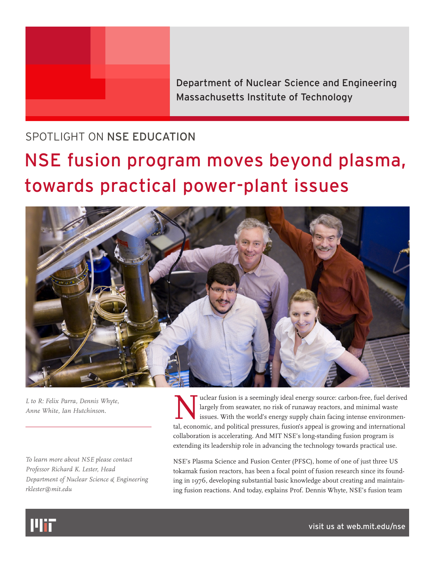

Department of Nuclear Science and Engineering Massachusetts Institute of Technology

## SPOTLIGHT ON NSE EDUCATION

## NSE fusion program moves beyond plasma, towards practical power-plant issues



*L to R: Felix Parra, Dennis Whyte, Anne White, Ian Hutchinson.*

*To learn more about NSE please contact Professor Richard K. Lester, Head Department of Nuclear Science & Engineering rklester@mit.edu*

uclear fusion is a seemingly ideal energy source: carbon-free, fuel derived largely from seawater, no risk of runaway reactors, and minimal waste issues. With the world's energy supply chain facing intense environmental, economic, and political pressures, fusion's appeal is growing and international collaboration is accelerating. And MIT NSE's long-standing fusion program is extending its leadership role in advancing the technology towards practical use.

NSE's Plasma Science and Fusion Center (PFSC), home of one of just three US tokamak fusion reactors, has been a focal point of fusion research since its founding in 1976, developing substantial basic knowledge about creating and maintaining fusion reactions. And today, explains Prof. Dennis Whyte, NSE's fusion team



[visit us at web.mit.edu/nse](http://web.mit.edu/nse)